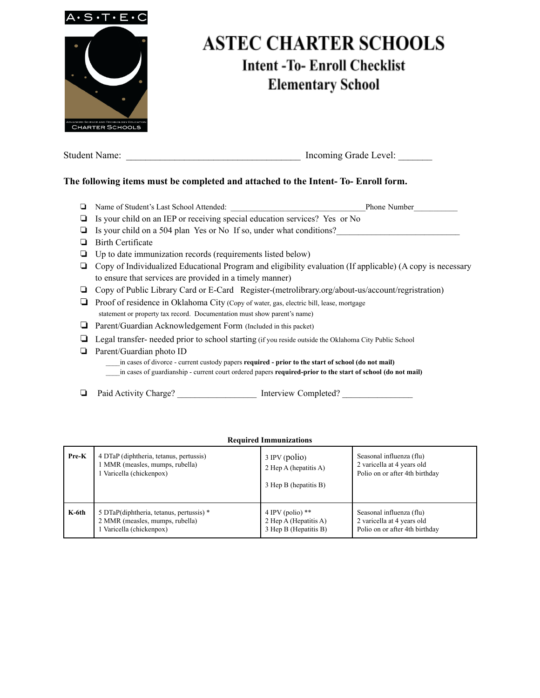

# **ASTEC CHARTER SCHOOLS Intent-To-Enroll Checklist Elementary School**

| <b>Student Name:</b> | Incoming Grade Level: |  |
|----------------------|-----------------------|--|
|                      |                       |  |

## **The following items must be completed and attached to the Intent- To- Enroll form.**

| Name of Student's Last School Attended:<br><b>Phone Number</b>                                              |
|-------------------------------------------------------------------------------------------------------------|
| Is your child on an IEP or receiving special education services? Yes or No                                  |
| Is your child on a 504 plan Yes or No If so, under what conditions?                                         |
| Birth Certificate                                                                                           |
| Up to date immunization records (requirements listed below)                                                 |
| Copy of Individualized Educational Program and eligibility evaluation (If applicable) (A copy is necessary  |
| to ensure that services are provided in a timely manner)                                                    |
| Copy of Public Library Card or E-Card Register-(metrolibrary.org/about-us/account/regristration)            |
| Proof of residence in Oklahoma City (Copy of water, gas, electric bill, lease, mortgage                     |
| statement or property tax record. Documentation must show parent's name)                                    |
| Parent/Guardian Acknowledgement Form (Included in this packet)                                              |
| Legal transfer- needed prior to school starting (if you reside outside the Oklahoma City Public School      |
| Parent/Guardian photo ID                                                                                    |
| in cases of divorce - current custody papers <b>required - prior to the start of school (do not mail)</b>   |
| in cases of guardianship - current court ordered papers required-prior to the start of school (do not mail) |

❏ Paid Activity Charge? \_\_\_\_\_\_\_\_\_\_\_\_\_\_\_\_\_\_ Interview Completed? \_\_\_\_\_\_\_\_\_\_\_\_\_\_\_\_

#### **Required Immunizations**

| Pre-K | 4 DTaP (diphtheria, tetanus, pertussis)  | 3 IPV (polio)         | Seasonal influenza (flu)       |
|-------|------------------------------------------|-----------------------|--------------------------------|
|       | 1 MMR (measles, mumps, rubella)          | 2 Hep A (hepatitis A) | 2 varicella at 4 years old     |
|       | l Varicella (chickenpox)                 | 3 Hep B (hepatitis B) | Polio on or after 4th birthday |
| K-6th | 5 DTaP(diphtheria, tetanus, pertussis) * | 4 IPV (polio) $**$    | Seasonal influenza (flu)       |
|       | 2 MMR (measles, mumps, rubella)          | 2 Hep A (Hepatitis A) | 2 varicella at 4 years old     |
|       | Varicella (chickenpox)                   | 3 Hep B (Hepatitis B) | Polio on or after 4th birthday |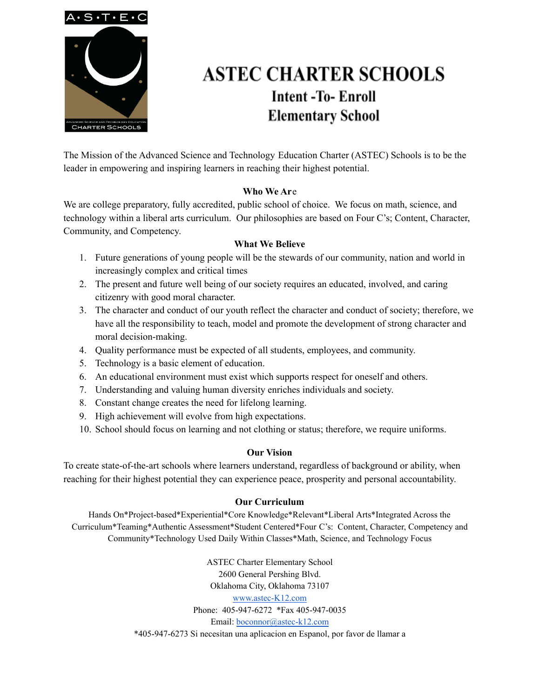

# **ASTEC CHARTER SCHOOLS Intent-To-Enroll Elementary School**

The Mission of the Advanced Science and Technology Education Charter (ASTEC) Schools is to be the leader in empowering and inspiring learners in reaching their highest potential.

### **Who We Ar**e

We are college preparatory, fully accredited, public school of choice. We focus on math, science, and technology within a liberal arts curriculum. Our philosophies are based on Four C's; Content, Character, Community, and Competency.

### **What We Believe**

- 1. Future generations of young people will be the stewards of our community, nation and world in increasingly complex and critical times
- 2. The present and future well being of our society requires an educated, involved, and caring citizenry with good moral character.
- 3. The character and conduct of our youth reflect the character and conduct of society; therefore, we have all the responsibility to teach, model and promote the development of strong character and moral decision-making.
- 4. Quality performance must be expected of all students, employees, and community.
- 5. Technology is a basic element of education.
- 6. An educational environment must exist which supports respect for oneself and others.
- 7. Understanding and valuing human diversity enriches individuals and society.
- 8. Constant change creates the need for lifelong learning.
- 9. High achievement will evolve from high expectations.
- 10. School should focus on learning and not clothing or status; therefore, we require uniforms.

## **Our Vision**

To create state-of-the-art schools where learners understand, regardless of background or ability, when reaching for their highest potential they can experience peace, prosperity and personal accountability.

## **Our Curriculum**

Hands On\*Project-based\*Experiential\*Core Knowledge\*Relevant\*Liberal Arts\*Integrated Across the Curriculum\*Teaming\*Authentic Assessment\*Student Centered\*Four C's: Content, Character, Competency and Community\*Technology Used Daily Within Classes\*Math, Science, and Technology Focus

> ASTEC Charter Elementary School 2600 General Pershing Blvd. Oklahoma City, Oklahoma 73107 [www.astec-K12.com](http://www.astec-k12.com) Phone: 405-947-6272 \*Fax 405-947-0035 Email: [boconnor@astec-k12.com](mailto:boconnor@astec-k12.com) \*405-947-6273 Si necesitan una aplicacion en Espanol, por favor de llamar a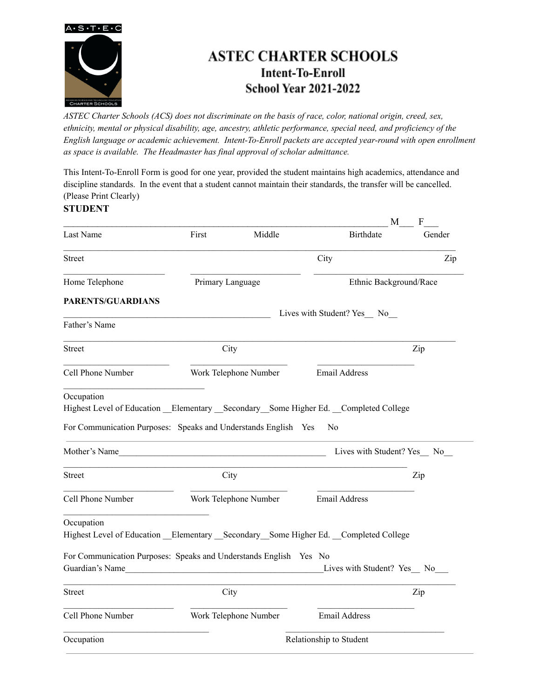

## **ASTEC CHARTER SCHOOLS Intent-To-Enroll School Year 2021-2022**

ASTEC Charter Schools (ACS) does not discriminate on the basis of race, color, national origin, creed, sex, *ethnicity, mental or physical disability, age, ancestry, athletic performance, special need, and proficiency of the English language or academic achievement. Intent-To-Enroll packets are accepted year-round with open enrollment as space is available. The Headmaster has final approval of scholar admittance.*

This Intent-To-Enroll Form is good for one year, provided the student maintains high academics, attendance and discipline standards. In the event that a student cannot maintain their standards, the transfer will be cancelled. (Please Print Clearly)

### **STUDENT**

|                                                                                                                                                                           |                                                                                                                                                                                                                                      |                       |                              | M                      | $\boldsymbol{F}$                |
|---------------------------------------------------------------------------------------------------------------------------------------------------------------------------|--------------------------------------------------------------------------------------------------------------------------------------------------------------------------------------------------------------------------------------|-----------------------|------------------------------|------------------------|---------------------------------|
| Last Name                                                                                                                                                                 | First                                                                                                                                                                                                                                | Middle                | <b>Birthdate</b>             |                        | Gender                          |
| <b>Street</b>                                                                                                                                                             |                                                                                                                                                                                                                                      |                       | City                         |                        | Zip                             |
| Home Telephone                                                                                                                                                            |                                                                                                                                                                                                                                      | Primary Language      |                              | Ethnic Background/Race |                                 |
| PARENTS/GUARDIANS                                                                                                                                                         |                                                                                                                                                                                                                                      |                       |                              |                        |                                 |
| Father's Name                                                                                                                                                             |                                                                                                                                                                                                                                      |                       | Lives with Student? Yes_ No_ |                        |                                 |
| <b>Street</b>                                                                                                                                                             |                                                                                                                                                                                                                                      | City                  |                              |                        | Zip                             |
| Cell Phone Number                                                                                                                                                         |                                                                                                                                                                                                                                      | Work Telephone Number | Email Address                |                        |                                 |
| Occupation<br>Highest Level of Education __Elementary __Secondary __Some Higher Ed. __Completed College<br>For Communication Purposes: Speaks and Understands English Yes |                                                                                                                                                                                                                                      |                       | N <sub>0</sub>               |                        |                                 |
| Mother's Name                                                                                                                                                             |                                                                                                                                                                                                                                      |                       |                              |                        | Lives with Student? Yes __ No__ |
| <b>Street</b>                                                                                                                                                             |                                                                                                                                                                                                                                      | City                  |                              |                        | Zip                             |
| Cell Phone Number                                                                                                                                                         |                                                                                                                                                                                                                                      | Work Telephone Number | <b>Email Address</b>         |                        |                                 |
| Occupation<br>Highest Level of Education Elementary Secondary Some Higher Ed. Completed College                                                                           |                                                                                                                                                                                                                                      |                       |                              |                        |                                 |
| For Communication Purposes: Speaks and Understands English Yes No<br>Guardian's Name                                                                                      | <u>and the state of the state of the state of the state of the state of the state of the state of the state of the state of the state of the state of the state of the state of the state of the state of the state of the state</u> |                       | Lives with Student? Yes No   |                        |                                 |
| <b>Street</b>                                                                                                                                                             |                                                                                                                                                                                                                                      | City                  |                              |                        | Zip                             |
| Cell Phone Number                                                                                                                                                         |                                                                                                                                                                                                                                      | Work Telephone Number | Email Address                |                        |                                 |
| Occupation                                                                                                                                                                |                                                                                                                                                                                                                                      |                       | Relationship to Student      |                        |                                 |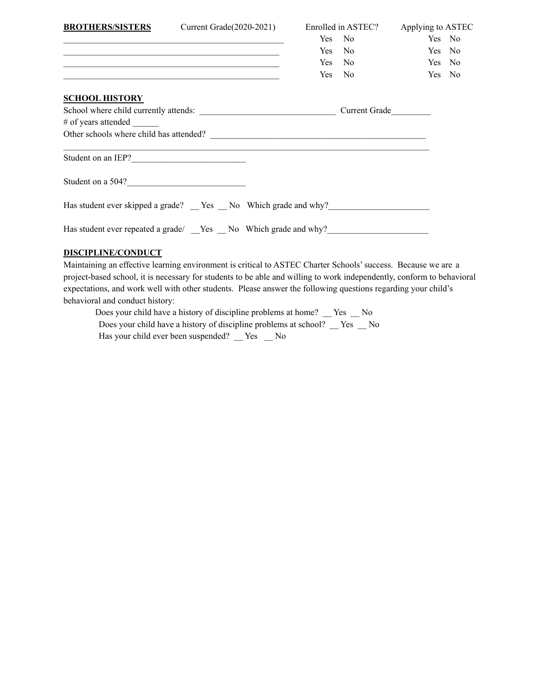| <b>BROTHERS/SISTERS</b>                                                           | Current Grade $(2020-2021)$                                                                                          |  |  | Enrolled in ASTEC? Applying to ASTEC |        |  |
|-----------------------------------------------------------------------------------|----------------------------------------------------------------------------------------------------------------------|--|--|--------------------------------------|--------|--|
|                                                                                   | <u> 1989 - Johann John Stone, markin film yn y brening yn y brening y brening yn y brening y brening yn y brenin</u> |  |  | Yes No                               | Yes No |  |
|                                                                                   |                                                                                                                      |  |  | Yes No                               | Yes No |  |
|                                                                                   |                                                                                                                      |  |  | Yes No                               | Yes No |  |
|                                                                                   | <u> 1999 - 1999 - 1999 - 1999 - 1999 - 1999 - 1999 - 1999 - 1999 - 1999 - 1999 - 1999 - 1999 - 1999 - 1999 - 19</u>  |  |  | Yes No                               | Yes No |  |
| <b>SCHOOL HISTORY</b>                                                             |                                                                                                                      |  |  |                                      |        |  |
|                                                                                   |                                                                                                                      |  |  |                                      |        |  |
| # of years attended                                                               |                                                                                                                      |  |  |                                      |        |  |
|                                                                                   |                                                                                                                      |  |  |                                      |        |  |
| Student on an IEP?                                                                | ,我们也不能在这里的人,我们也不能在这里的人,我们也不能在这里的人,我们也不能在这里的人,我们也不能在这里的人,我们也不能在这里的人,我们也不能在这里的人,我们也                                    |  |  |                                      |        |  |
| Student on a 504?                                                                 |                                                                                                                      |  |  |                                      |        |  |
| Has student ever skipped a grade? _ Yes _ No Which grade and why?________________ |                                                                                                                      |  |  |                                      |        |  |
| Has student ever repeated a grade/ __Yes __ No Which grade and why?               |                                                                                                                      |  |  |                                      |        |  |
|                                                                                   |                                                                                                                      |  |  |                                      |        |  |

### **DISCIPLINE/CONDUCT**

Maintaining an effective learning environment is critical to ASTEC Charter Schools'success. Because we are a project-based school, it is necessary for students to be able and willing to work independently, conform to behavioral expectations, and work well with other students. Please answer the following questions regarding your child's behavioral and conduct history:

Does your child have a history of discipline problems at home? \_\_ Yes \_\_ No Does your child have a history of discipline problems at school? \_\_ Yes \_\_ No Has your child ever been suspended? \_\_ Yes \_\_ No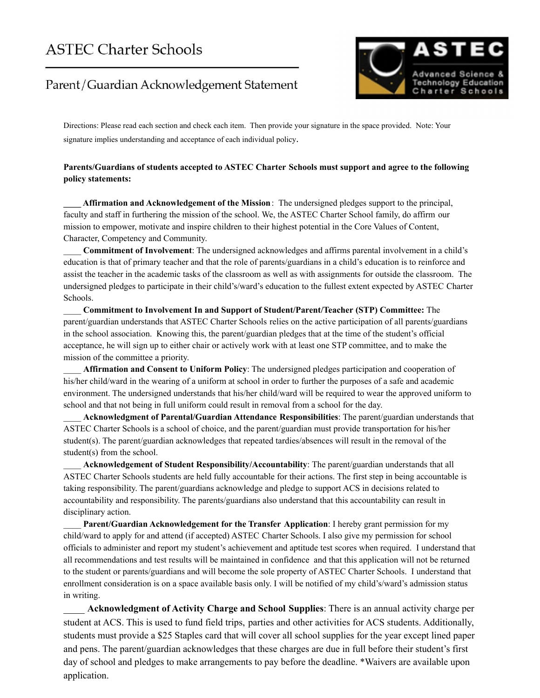## **ASTEC Charter Schools**

## Parent/Guardian Acknowledgement Statement



Directions: Please read each section and check each item. Then provide your signature in the space provided. Note: Your signature implies understanding and acceptance of each individual policy.

#### **Parents/Guardians of students accepted to ASTEC Charter Schools must support and agree to the following policy statements:**

**\_\_\_\_ Affirmation and Acknowledgement of the Mission**: The undersigned pledges support to the principal, faculty and staff in furthering the mission of the school. We, the ASTEC Charter School family, do affirm our mission to empower, motivate and inspire children to their highest potential in the Core Values of Content, Character, Competency and Community.

\_\_\_\_ **Commitment of Involvement**: The undersigned acknowledges and affirms parental involvement in a child's education is that of primary teacher and that the role of parents/guardians in a child's education is to reinforce and assist the teacher in the academic tasks of the classroom as well as with assignments for outside the classroom. The undersigned pledges to participate in their child's/ward's education to the fullest extent expected by ASTEC Charter Schools.

\_\_\_\_ **Commitment to Involvement In and Support of Student/Parent/Teacher (STP) Committee:** The parent/guardian understands that ASTEC Charter Schools relies on the active participation of all parents/guardians in the school association. Knowing this, the parent/guardian pledges that at the time of the student's official acceptance, he will sign up to either chair or actively work with at least one STP committee, and to make the mission of the committee a priority.

\_\_\_\_ **Affirmation and Consent to Uniform Policy**: The undersigned pledges participation and cooperation of his/her child/ward in the wearing of a uniform at school in order to further the purposes of a safe and academic environment. The undersigned understands that his/her child/ward will be required to wear the approved uniform to school and that not being in full uniform could result in removal from a school for the day.

\_\_\_\_ **Acknowledgment of Parental/Guardian Attendance Responsibilities**: The parent/guardian understands that ASTEC Charter Schools is a school of choice, and the parent/guardian must provide transportation for his/her student(s). The parent/guardian acknowledges that repeated tardies/absences will result in the removal of the student(s) from the school.

\_\_\_\_ **Acknowledgement of Student Responsibility/Accountability**: The parent/guardian understands that all ASTEC Charter Schools students are held fully accountable for their actions. The first step in being accountable is taking responsibility. The parent/guardians acknowledge and pledge to support ACS in decisions related to accountability and responsibility. The parents/guardians also understand that this accountability can result in disciplinary action.

\_\_\_\_ **Parent/Guardian Acknowledgement for the Transfer Application**: I hereby grant permission for my child/ward to apply for and attend (if accepted) ASTEC Charter Schools. I also give my permission for school officials to administer and report my student's achievement and aptitude test scores when required. I understand that all recommendations and test results will be maintained in confidence and that this application will not be returned to the student or parents/guardians and will become the sole property of ASTEC Charter Schools. I understand that enrollment consideration is on a space available basis only. I will be notified of my child's/ward's admission status in writing.

\_\_\_\_ **Acknowledgment of Activity Charge and School Supplies**: There is an annual activity charge per student at ACS. This is used to fund field trips, parties and other activities for ACS students. Additionally, students must provide a \$25 Staples card that will cover all school supplies for the year except lined paper and pens. The parent/guardian acknowledges that these charges are due in full before their student's first day of school and pledges to make arrangements to pay before the deadline. \*Waivers are available upon application.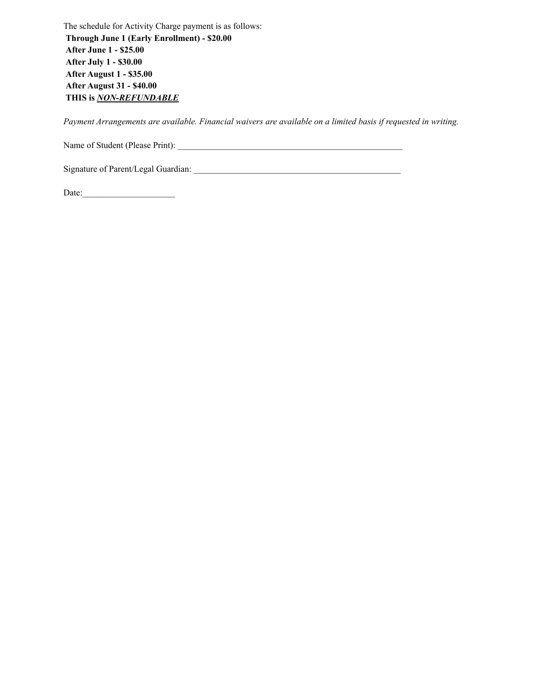The schedule for Activity Charge payment is as follows: **Through June 1 (Early Enrollment) - \$20.00 After June 1 - \$25.00 After July 1 - \$30.00 After August 1 - \$35.00 After August 31 - \$40.00 THIS is** *NON-REFUNDABLE*

*Payment Arrangements are available. Financial waivers are available on a limited basis if requested in writing.*

Name of Student (Please Print): \_\_\_\_\_\_\_\_\_\_\_\_\_\_\_\_\_\_\_\_\_\_\_\_\_\_\_\_\_\_\_\_\_\_\_\_\_\_\_\_\_\_\_\_\_\_\_\_\_\_\_

Signature of Parent/Legal Guardian: \_\_\_\_\_\_\_\_\_\_\_\_\_\_\_\_\_\_\_\_\_\_\_\_\_\_\_\_\_\_\_\_\_\_\_\_\_\_\_\_\_\_\_\_\_\_\_

Date:\_\_\_\_\_\_\_\_\_\_\_\_\_\_\_\_\_\_\_\_\_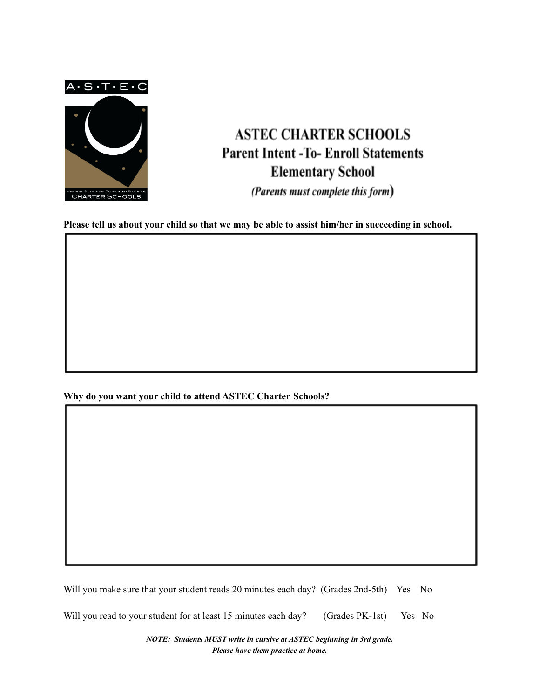$A \cdot S \cdot T \cdot E \cdot C$ 



# **ASTEC CHARTER SCHOOLS Parent Intent -To- Enroll Statements Elementary School**

(Parents must complete this form)

Please tell us about your child so that we may be able to assist him/her in succeeding in school.

**Why do you want your child to attend ASTEC Charter Schools?**

Will you make sure that your student reads 20 minutes each day? (Grades 2nd-5th) Yes No

Will you read to your student for at least 15 minutes each day? (Grades PK-1st) Yes No

*NOTE: Students MUST write in cursive at ASTEC beginning in 3rd grade. Please have them practice at home.*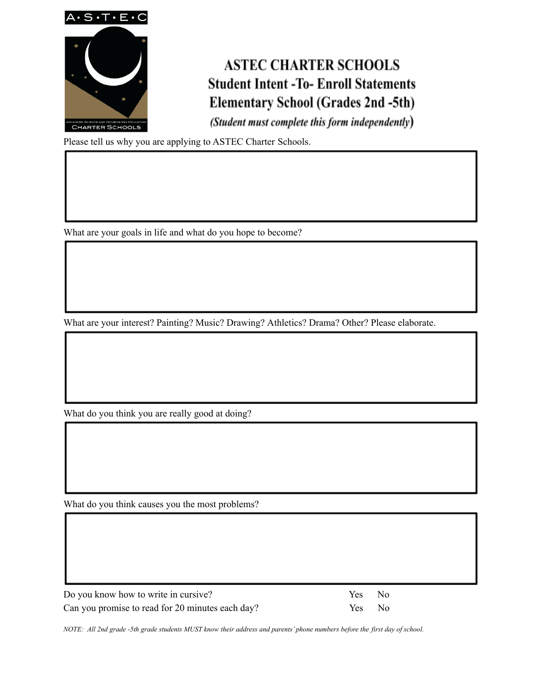

# **ASTEC CHARTER SCHOOLS Student Intent -To- Enroll Statements Elementary School (Grades 2nd -5th)**

(Student must complete this form independently)

Please tell us why you are applying to ASTEC Charter Schools.

What are your goals in life and what do you hope to become?

What are your interest? Painting? Music? Drawing? Athletics? Drama? Other? Please elaborate.

What do you think you are really good at doing?

What do you think causes you the most problems?

| Do you know how to write in cursive?             | Yes No |  |
|--------------------------------------------------|--------|--|
| Can you promise to read for 20 minutes each day? | Yes No |  |

NOTE: All 2nd grade -5th grade students MUST know their address and parents' phone numbers before the first day of school.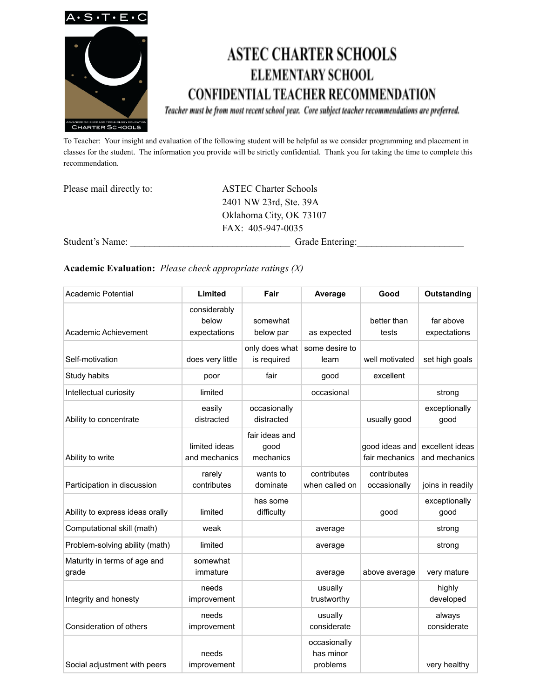

# **ASTEC CHARTER SCHOOLS ELEMENTARY SCHOOL CONFIDENTIAL TEACHER RECOMMENDATION**

Teacher must be from most recent school year. Core subject teacher recommendations are preferred.

To Teacher: Your insight and evaluation of the following student will be helpful as we consider programming and placement in classes for the student. The information you provide will be strictly confidential. Thank you for taking the time to complete this recommendation.

| Please mail directly to: | <b>ASTEC Charter Schools</b> |  |  |
|--------------------------|------------------------------|--|--|
|                          | 2401 NW 23rd, Ste. 39A       |  |  |
|                          | Oklahoma City, OK 73107      |  |  |
|                          | FAX: 405-947-0035            |  |  |
| Student's Name:          | Grade Entering:              |  |  |

#### **Academic Evaluation:** *Please check appropriate ratings (X)*

| <b>Academic Potential</b>             | Limited                               | Fair                                | Average                               | Good                             | Outstanding                      |
|---------------------------------------|---------------------------------------|-------------------------------------|---------------------------------------|----------------------------------|----------------------------------|
| Academic Achievement                  | considerably<br>below<br>expectations | somewhat<br>below par               | as expected                           | better than<br>tests             | far above<br>expectations        |
| Self-motivation                       | does very little                      | only does what<br>is required       | some desire to<br>learn               | well motivated                   | set high goals                   |
| Study habits                          | poor                                  | fair                                | good                                  | excellent                        |                                  |
| Intellectual curiosity                | limited                               |                                     | occasional                            |                                  | strong                           |
| Ability to concentrate                | easily<br>distracted                  | occasionally<br>distracted          |                                       | usually good                     | exceptionally<br>good            |
| Ability to write                      | limited ideas<br>and mechanics        | fair ideas and<br>good<br>mechanics |                                       | good ideas and<br>fair mechanics | excellent ideas<br>and mechanics |
| Participation in discussion           | rarely<br>contributes                 | wants to<br>dominate                | contributes<br>when called on         | contributes<br>occasionally      | joins in readily                 |
| Ability to express ideas orally       | limited                               | has some<br>difficulty              |                                       | good                             | exceptionally<br>good            |
| Computational skill (math)            | weak                                  |                                     | average                               |                                  | strong                           |
| Problem-solving ability (math)        | limited                               |                                     | average                               |                                  | strong                           |
| Maturity in terms of age and<br>grade | somewhat<br>immature                  |                                     | average                               | above average                    | very mature                      |
| Integrity and honesty                 | needs<br>improvement                  |                                     | usually<br>trustworthy                |                                  | highly<br>developed              |
| Consideration of others               | needs<br>improvement                  |                                     | usually<br>considerate                |                                  | always<br>considerate            |
| Social adjustment with peers          | needs<br>improvement                  |                                     | occasionally<br>has minor<br>problems |                                  | very healthy                     |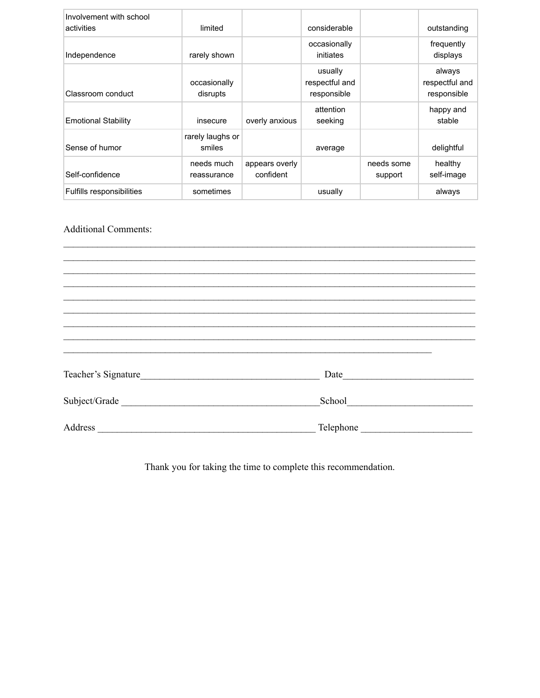| Involvement with school<br>activities | limited                    |                             | considerable                             |                       | outstanding                             |
|---------------------------------------|----------------------------|-----------------------------|------------------------------------------|-----------------------|-----------------------------------------|
| Independence                          | rarely shown               |                             | occasionally<br>initiates                |                       | frequently<br>displays                  |
| Classroom conduct                     | occasionally<br>disrupts   |                             | usually<br>respectful and<br>responsible |                       | always<br>respectful and<br>responsible |
| <b>Emotional Stability</b>            | insecure                   | overly anxious              | attention<br>seeking                     |                       | happy and<br>stable                     |
| Sense of humor                        | rarely laughs or<br>smiles |                             | average                                  |                       | delightful                              |
| Self-confidence                       | needs much<br>reassurance  | appears overly<br>confident |                                          | needs some<br>support | healthy<br>self-image                   |
| Fulfills responsibilities             | sometimes                  |                             | usually                                  |                       | always                                  |

### Additional Comments:

| Teacher's Signature                                                                                                                                                                                                                             |           |
|-------------------------------------------------------------------------------------------------------------------------------------------------------------------------------------------------------------------------------------------------|-----------|
|                                                                                                                                                                                                                                                 |           |
| Subject/Grade                                                                                                                                                                                                                                   |           |
|                                                                                                                                                                                                                                                 |           |
| Address<br><u> 1980 - Andrea Aonaich, ann an t-Èireann an t-Èireann an t-Èireann an t-Èireann an t-Èireann an t-Èireann an t-Èireann an t-Èireann an t-Èireann an t-Èireann an t-Èireann an t-Èireann an t-Èireann an t-Èireann an t-Èirean</u> | Telephone |

 $\mathcal{L}_\text{max} = \mathcal{L}_\text{max} = \mathcal{L}_\text{max} = \mathcal{L}_\text{max} = \mathcal{L}_\text{max} = \mathcal{L}_\text{max} = \mathcal{L}_\text{max} = \mathcal{L}_\text{max} = \mathcal{L}_\text{max} = \mathcal{L}_\text{max} = \mathcal{L}_\text{max} = \mathcal{L}_\text{max} = \mathcal{L}_\text{max} = \mathcal{L}_\text{max} = \mathcal{L}_\text{max} = \mathcal{L}_\text{max} = \mathcal{L}_\text{max} = \mathcal{L}_\text{max} = \mathcal{$ 

Thank you for taking the time to complete this recommendation.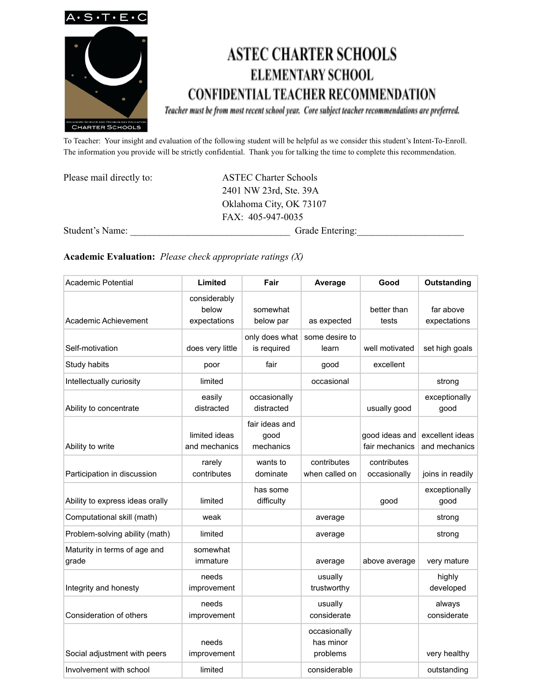

# **ASTEC CHARTER SCHOOLS ELEMENTARY SCHOOL CONFIDENTIAL TEACHER RECOMMENDATION**

Teacher must be from most recent school year. Core subject teacher recommendations are preferred.

To Teacher: Your insight and evaluation of the following student will be helpful as we consider this student's Intent-To-Enroll. The information you provide will be strictly confidential. Thank you for talking the time to complete this recommendation.

| Please mail directly to: | <b>ASTEC Charter Schools</b> |  |  |  |
|--------------------------|------------------------------|--|--|--|
|                          | 2401 NW 23rd, Ste. 39A       |  |  |  |
|                          | Oklahoma City, OK 73107      |  |  |  |
|                          | $FAX: 405-947-0035$          |  |  |  |
| Student's Name:          | Grade Entering:              |  |  |  |

### **Academic Evaluation:** *Please check appropriate ratings (X)*

| <b>Academic Potential</b>             | Limited                               | Fair                                | Average                               | Good                             | Outstanding                      |
|---------------------------------------|---------------------------------------|-------------------------------------|---------------------------------------|----------------------------------|----------------------------------|
| Academic Achievement                  | considerably<br>below<br>expectations | somewhat<br>below par               | as expected                           | better than<br>tests             | far above<br>expectations        |
| Self-motivation                       | does very little                      | only does what<br>is required       | some desire to<br>learn               | well motivated                   | set high goals                   |
| Study habits                          | poor                                  | fair                                | good                                  | excellent                        |                                  |
| Intellectually curiosity              | limited                               |                                     | occasional                            |                                  | strong                           |
| Ability to concentrate                | easily<br>distracted                  | occasionally<br>distracted          |                                       | usually good                     | exceptionally<br>good            |
| Ability to write                      | limited ideas<br>and mechanics        | fair ideas and<br>good<br>mechanics |                                       | good ideas and<br>fair mechanics | excellent ideas<br>and mechanics |
| Participation in discussion           | rarely<br>contributes                 | wants to<br>dominate                | contributes<br>when called on         | contributes<br>occasionally      | joins in readily                 |
| Ability to express ideas orally       | limited                               | has some<br>difficulty              |                                       | good                             | exceptionally<br>good            |
| Computational skill (math)            | weak                                  |                                     | average                               |                                  | strong                           |
| Problem-solving ability (math)        | limited                               |                                     | average                               |                                  | strong                           |
| Maturity in terms of age and<br>grade | somewhat<br>immature                  |                                     | average                               | above average                    | very mature                      |
| Integrity and honesty                 | needs<br>improvement                  |                                     | usually<br>trustworthy                |                                  | highly<br>developed              |
| Consideration of others               | needs<br>improvement                  |                                     | usually<br>considerate                |                                  | always<br>considerate            |
| Social adjustment with peers          | needs<br>improvement                  |                                     | occasionally<br>has minor<br>problems |                                  | very healthy                     |
| Involvement with school               | limited                               |                                     | considerable                          |                                  | outstanding                      |